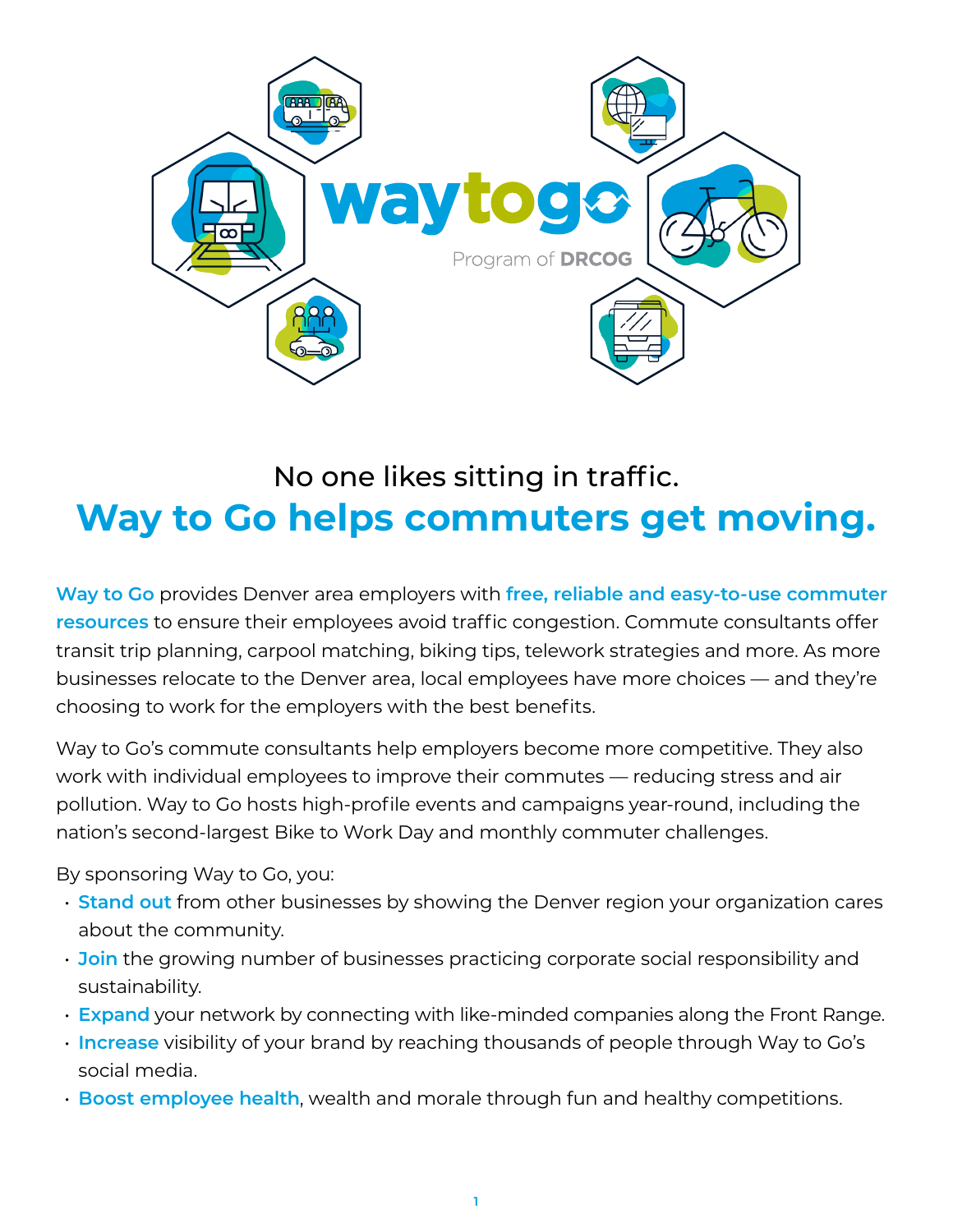

# No one likes sitting in traffic. **Way to Go helps commuters get moving.**

**Way to Go** provides Denver area employers with **free, reliable and easy-to-use commuter resources** to ensure their employees avoid traffic congestion. Commute consultants offer transit trip planning, carpool matching, biking tips, telework strategies and more. As more businesses relocate to the Denver area, local employees have more choices — and they're choosing to work for the employers with the best benefits.

Way to Go's commute consultants help employers become more competitive. They also work with individual employees to improve their commutes — reducing stress and air pollution. Way to Go hosts high-profile events and campaigns year-round, including the nation's second-largest Bike to Work Day and monthly commuter challenges.

By sponsoring Way to Go, you:

- **Stand out** from other businesses by showing the Denver region your organization cares about the community.
- **Join** the growing number of businesses practicing corporate social responsibility and sustainability.
- **Expand** your network by connecting with like-minded companies along the Front Range.
- **Increase** visibility of your brand by reaching thousands of people through Way to Go's social media.
- **Boost employee health**, wealth and morale through fun and healthy competitions.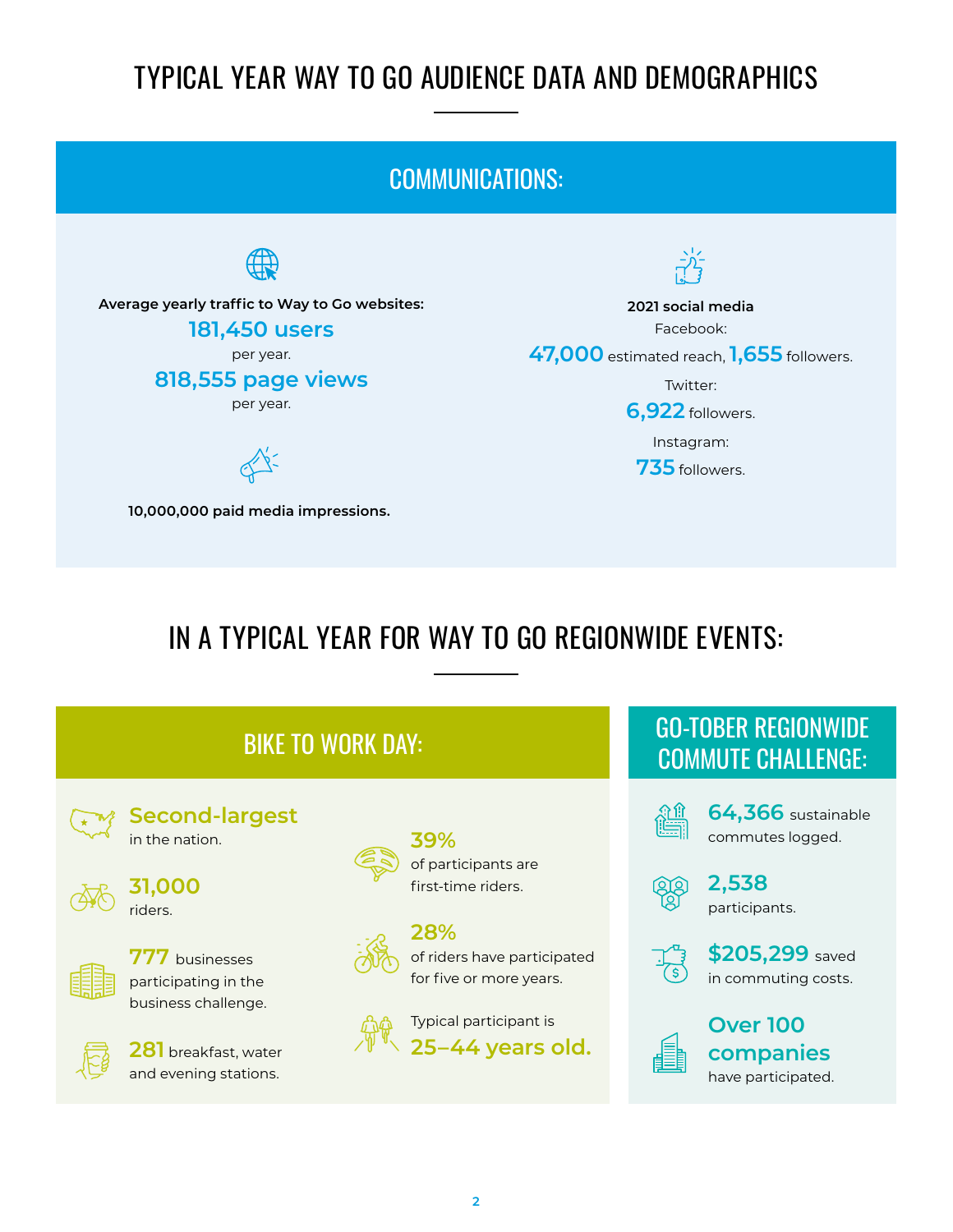## TYPICAL YEAR WAY TO GO AUDIENCE DATA AND DEMOGRAPHICS

#### COMMUNICATIONS:  $\frac{1}{2}$ **Average yearly traffic to Way to Go websites: 2021 social media** Facebook: **181,450 users** per year. **47,000** estimated reach, **1,655** followers. **818,555 page views** Twitter: per year. **6,922** followers. Instagram: **735** followers. **10,000,000 paid media impressions.**

## IN A TYPICAL YEAR FOR WAY TO GO REGIONWIDE EVENTS:

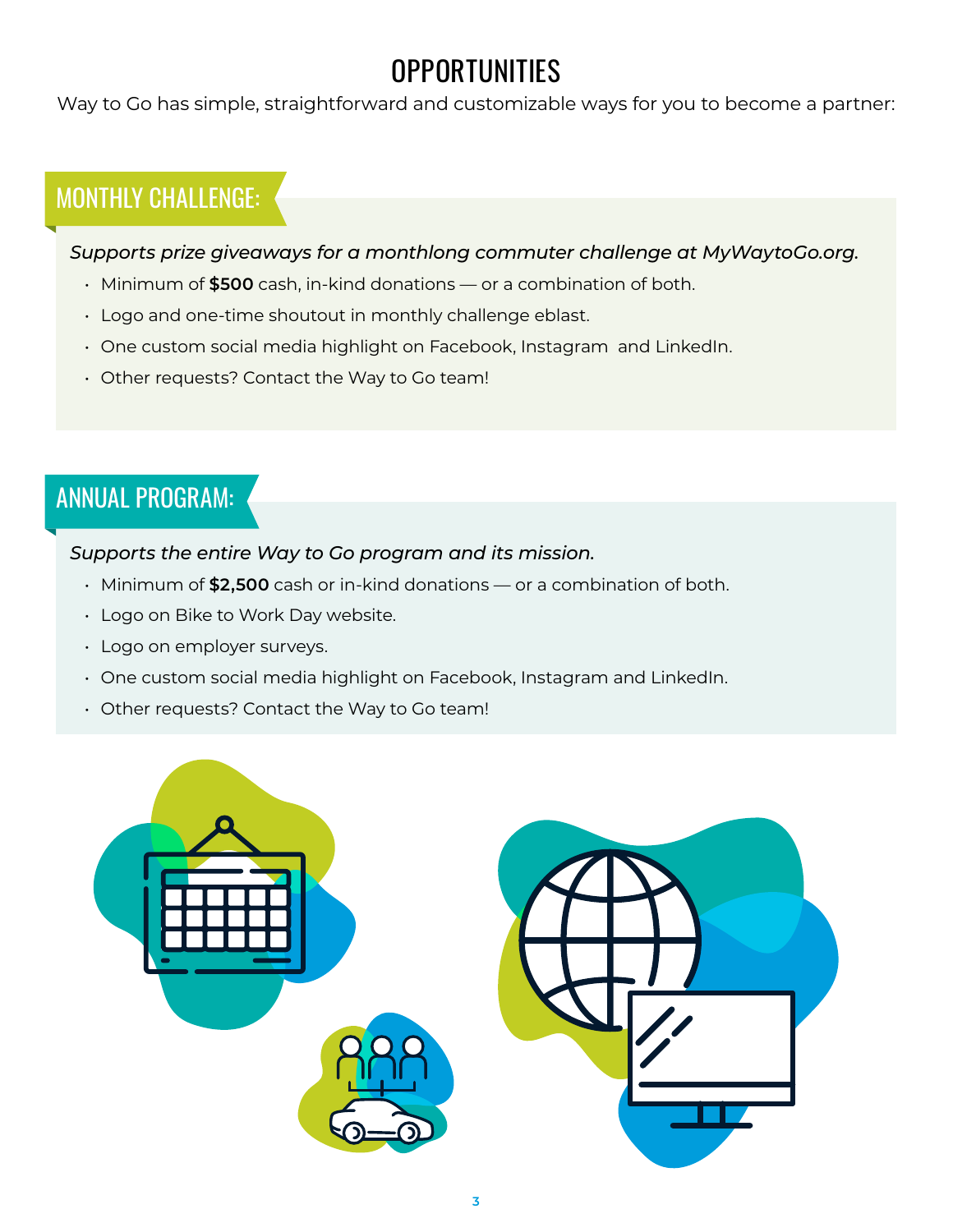## **OPPORTUNITIES**

Way to Go has simple, straightforward and customizable ways for you to become a partner:

### MONTHLY CHALLENGE:

#### *Supports prize giveaways for a monthlong commuter challenge at MyWaytoGo.org.*

- Minimum of **\$500** cash, in-kind donations or a combination of both.
- Logo and one-time shoutout in monthly challenge eblast.
- One custom social media highlight on Facebook, Instagram and LinkedIn.
- Other requests? Contact the Way to Go team!

### ANNUAL PROGRAM:

#### *Supports the entire Way to Go program and its mission.*

- Minimum of **\$2,500** cash or in-kind donations or a combination of both.
- Logo on Bike to Work Day website.
- Logo on employer surveys.
- One custom social media highlight on Facebook, Instagram and LinkedIn.
- Other requests? Contact the Way to Go team!

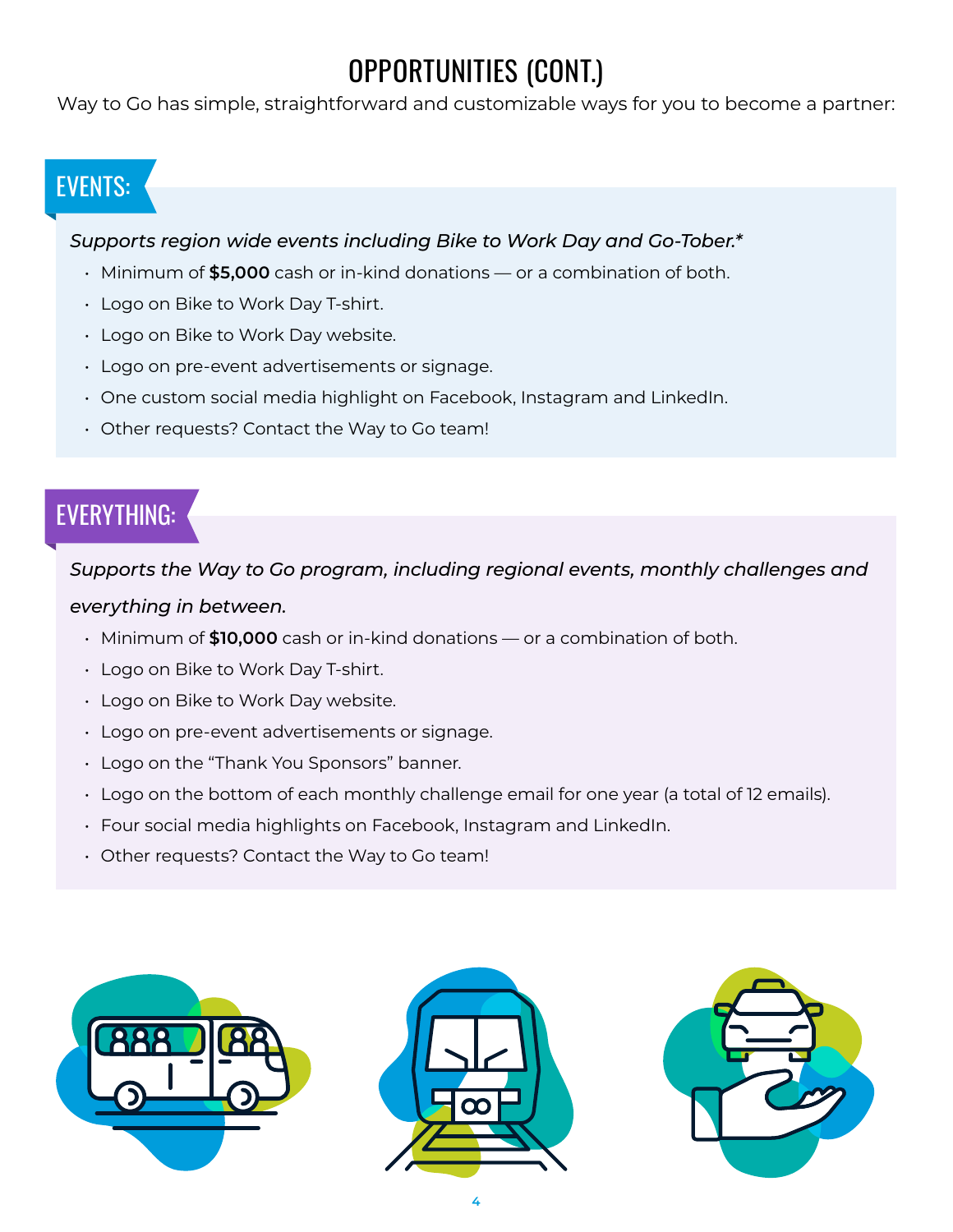## OPPORTUNITIES (CONT.)

Way to Go has simple, straightforward and customizable ways for you to become a partner:

### EVENTS:

#### *Supports region wide events including Bike to Work Day and Go-Tober.\**

- Minimum of **\$5,000** cash or in-kind donations or a combination of both.
- Logo on Bike to Work Day T-shirt.
- Logo on Bike to Work Day website.
- Logo on pre-event advertisements or signage.
- One custom social media highlight on Facebook, Instagram and LinkedIn.
- Other requests? Contact the Way to Go team!

### EVERYTHING:

*Supports the Way to Go program, including regional events, monthly challenges and everything in between.*

- Minimum of **\$10,000** cash or in-kind donations or a combination of both.
- Logo on Bike to Work Day T-shirt.
- Logo on Bike to Work Day website.
- Logo on pre-event advertisements or signage.
- Logo on the "Thank You Sponsors" banner.
- Logo on the bottom of each monthly challenge email for one year (a total of 12 emails).
- Four social media highlights on Facebook, Instagram and LinkedIn.
- Other requests? Contact the Way to Go team!